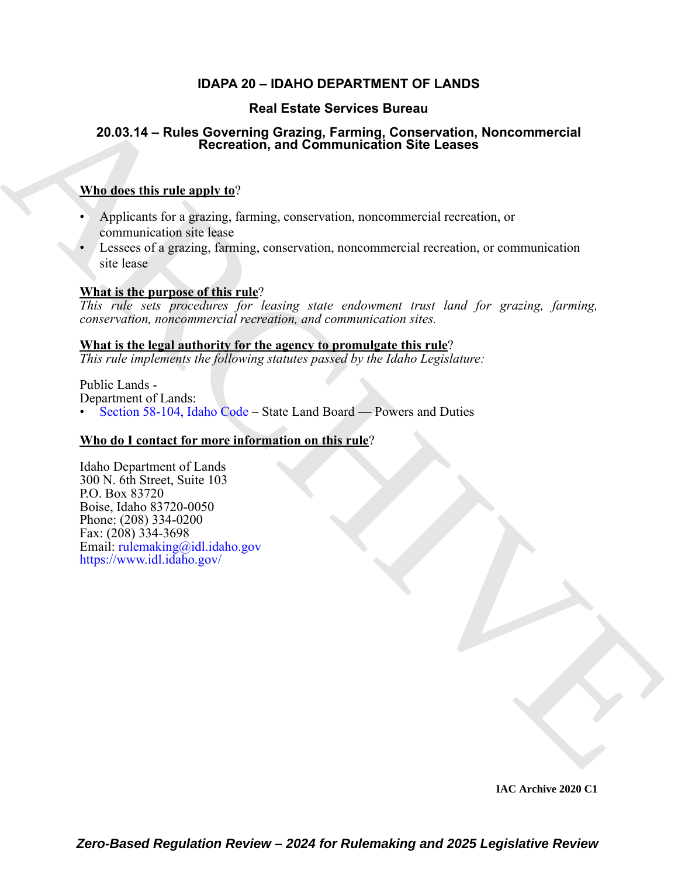# **IDAPA 20 – IDAHO DEPARTMENT OF LANDS**

# **Real Estate Services Bureau**

# **20.03.14 – Rules Governing Grazing, Farming, Conservation, Noncommercial Recreation, and Communication Site Leases**

## **Who does this rule apply to**?

- Applicants for a grazing, farming, conservation, noncommercial recreation, or communication site lease
- Lessees of a grazing, farming, conservation, noncommercial recreation, or communication site lease

### **What is the purpose of this rule**?

*This rule sets procedures for leasing state endowment trust land for grazing, farming, conservation, noncommercial recreation, and communication sites.*

# **What is the legal authority for the agency to promulgate this rule**?

*This rule implements the following statutes passed by the Idaho Legislature:*

Public Lands -

Department of Lands: • Section 58-104, Idaho Code – State Land Board — Powers and Duties

## **Who do I contact for more information on this rule**?

20.03.14 – Ruise Geoverning Grazing, Farming, [C](https://legislature.idaho.gov/statutesrules/idstat/Title58/T58CH1/SECT58-104/)onservation, Noncommercial<br>
20.03.14 – Ruise Geoverning Grazing, Farming, Conservation, Noncommercial<br>
Whe does this rule apply to:<br>
Application for a grazing, forming, conse Idaho Department of Lands 300 N. 6th Street, Suite 103 P.O. Box 83720 Boise, Idaho 83720-0050 Phone: (208) 334-0200 Fax: (208) 334-3698 Email: rulemaking@idl.idaho.gov https://www.idl.idaho.gov/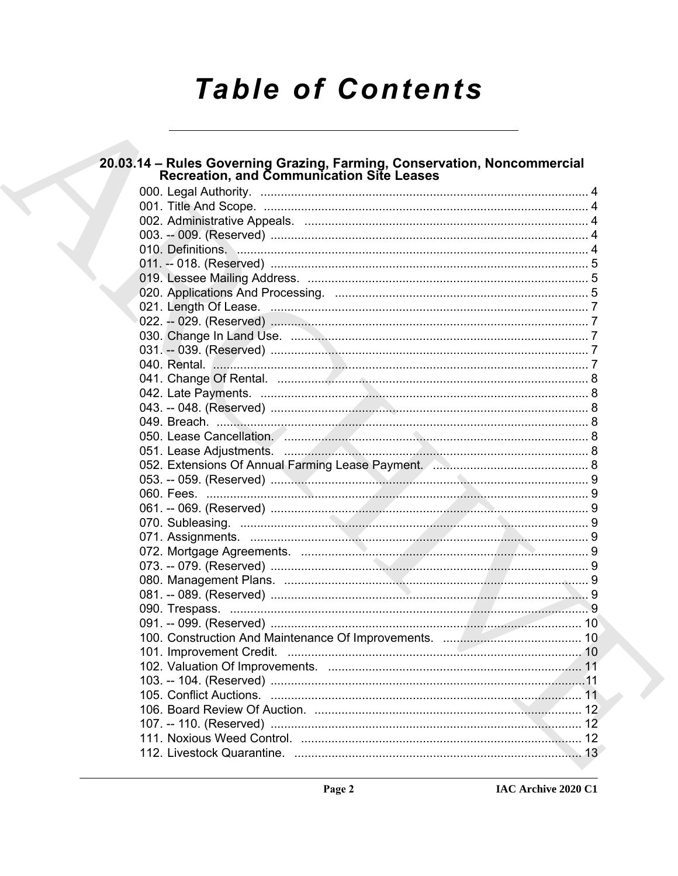# **Table of Contents**

| 20.03.14 – Rules Governing Grazing, Farming, Conservation, Noncommercial<br>Recreation, and Communication Site Leases |  |
|-----------------------------------------------------------------------------------------------------------------------|--|
|                                                                                                                       |  |
|                                                                                                                       |  |
|                                                                                                                       |  |
|                                                                                                                       |  |
|                                                                                                                       |  |
|                                                                                                                       |  |
|                                                                                                                       |  |
|                                                                                                                       |  |
|                                                                                                                       |  |
|                                                                                                                       |  |
|                                                                                                                       |  |
|                                                                                                                       |  |
|                                                                                                                       |  |
|                                                                                                                       |  |
|                                                                                                                       |  |
|                                                                                                                       |  |
|                                                                                                                       |  |
|                                                                                                                       |  |
|                                                                                                                       |  |
|                                                                                                                       |  |
|                                                                                                                       |  |
|                                                                                                                       |  |
|                                                                                                                       |  |
|                                                                                                                       |  |
|                                                                                                                       |  |
|                                                                                                                       |  |
|                                                                                                                       |  |
|                                                                                                                       |  |
|                                                                                                                       |  |
|                                                                                                                       |  |
|                                                                                                                       |  |
|                                                                                                                       |  |
|                                                                                                                       |  |
|                                                                                                                       |  |
|                                                                                                                       |  |
|                                                                                                                       |  |
|                                                                                                                       |  |
|                                                                                                                       |  |
|                                                                                                                       |  |
|                                                                                                                       |  |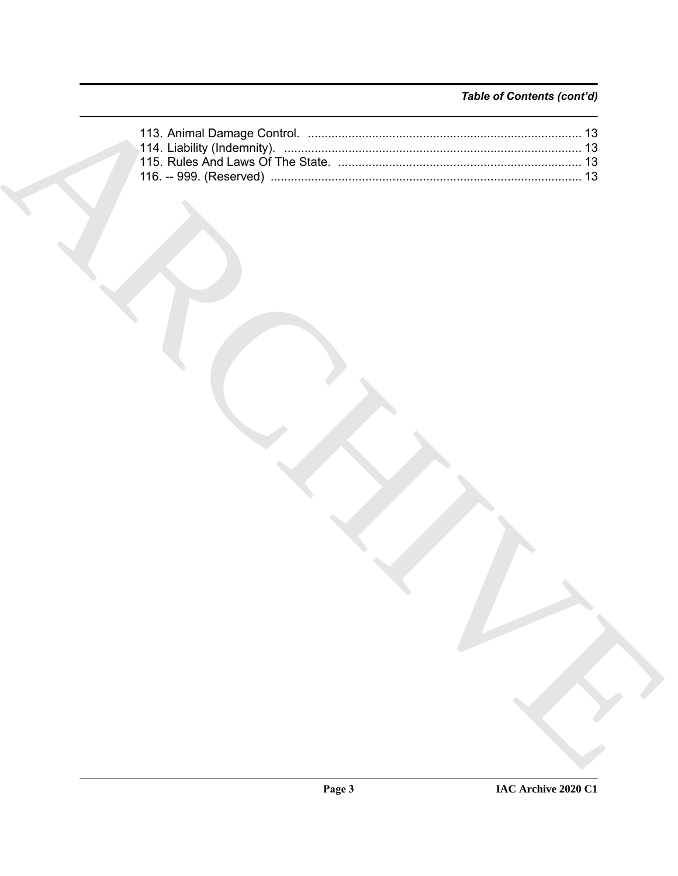# Table of Contents (cont'd)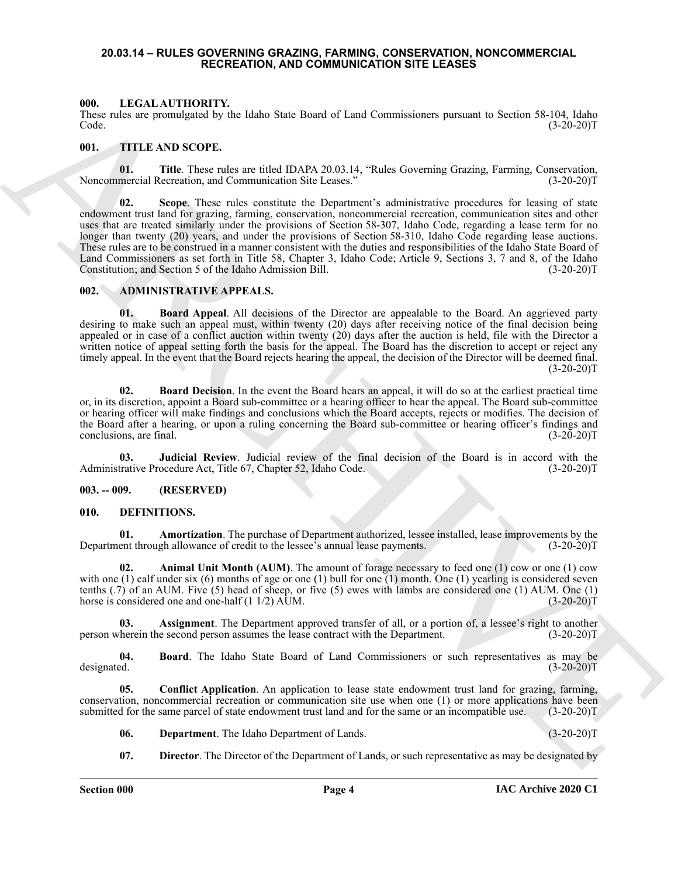#### <span id="page-3-0"></span>**20.03.14 – RULES GOVERNING GRAZING, FARMING, CONSERVATION, NONCOMMERCIAL RECREATION, AND COMMUNICATION SITE LEASES**

#### <span id="page-3-15"></span><span id="page-3-1"></span>**000. LEGAL AUTHORITY.**

These rules are promulgated by the Idaho State Board of Land Commissioners pursuant to Section 58-104, Idaho Code. (3-20-20)T  $\text{Code.}$  (3-20-20)T

#### <span id="page-3-16"></span><span id="page-3-2"></span>**001. TITLE AND SCOPE.**

**01. Title**. These rules are titled IDAPA 20.03.14, "Rules Governing Grazing, Farming, Conservation, Noncommercial Recreation, and Communication Site Leases."

604. IPACA (ATTICATEURY) Collabo Sante Read of Land Carterinicalores processes in Section 16. 12.1 Ideals<br>
College in the Section 16. 12.1 Idea of Land Carterinia (Figure 2). The section 16. 12.1 Idea of Land Care is the **02. Scope**. These rules constitute the Department's administrative procedures for leasing of state endowment trust land for grazing, farming, conservation, noncommercial recreation, communication sites and other uses that are treated similarly under the provisions of Section 58-307, Idaho Code, regarding a lease term for no longer than twenty (20) years, and under the provisions of Section 58-310, Idaho Code regarding lease auctions. These rules are to be construed in a manner consistent with the duties and responsibilities of the Idaho State Board of Land Commissioners as set forth in Title 58, Chapter 3, Idaho Code; Article 9, Sections 3, 7 and 8, of the Idaho Constitution; and Section 5 of the Idaho Admission Bill. (3-20-20)T Constitution; and Section 5 of the Idaho Admission Bill.

#### <span id="page-3-6"></span><span id="page-3-3"></span>**002. ADMINISTRATIVE APPEALS.**

**01. Board Appeal**. All decisions of the Director are appealable to the Board. An aggrieved party desiring to make such an appeal must, within twenty (20) days after receiving notice of the final decision being appealed or in case of a conflict auction within twenty (20) days after the auction is held, file with the Director a written notice of appeal setting forth the basis for the appeal. The Board has the discretion to accept or reject any timely appeal. In the event that the Board rejects hearing the appeal, the decision of the Director will be deemed final.  $(3-20-20)T$ 

**Board Decision**. In the event the Board hears an appeal, it will do so at the earliest practical time or, in its discretion, appoint a Board sub-committee or a hearing officer to hear the appeal. The Board sub-committee or hearing officer will make findings and conclusions which the Board accepts, rejects or modifies. The decision of the Board after a hearing, or upon a ruling concerning the Board sub-committee or hearing officer's findings and conclusions, are final. (3-20-20)T

**03.** Judicial Review. Judicial review of the final decision of the Board is in accord with the trative Procedure Act, Title 67, Chapter 52, Idaho Code. (3-20-20) Administrative Procedure Act, Title 67, Chapter 52, Idaho Code.

#### <span id="page-3-4"></span>**003. -- 009. (RESERVED)**

#### <span id="page-3-7"></span><span id="page-3-5"></span>**010. DEFINITIONS.**

<span id="page-3-8"></span>**Amortization**. The purchase of Department authorized, lessee installed, lease improvements by the gh allowance of credit to the lessee's annual lease payments. (3-20-20)<sup>T</sup> Department through allowance of credit to the lessee's annual lease payments.

<span id="page-3-9"></span>**02.** Animal Unit Month (AUM). The amount of forage necessary to feed one (1) cow or one (1) cow with one (1) calf under six (6) months of age or one (1) bull for one (1) month. One (1) yearling is considered seven tenths (.7) of an AUM. Five (5) head of sheep, or five (5) ewes with lambs are considered one (1) AUM. One (1) horse is considered one and one-half (1 1/2) AUM. horse is considered one and one-half  $(1\ 1/2)\overline{\text{AUM}}$ .

<span id="page-3-10"></span>**03.** Assignment. The Department approved transfer of all, or a portion of, a lessee's right to another herein the second person assumes the lease contract with the Department. (3-20-20)T person wherein the second person assumes the lease contract with the Department.

<span id="page-3-11"></span>**04.** Board. The Idaho State Board of Land Commissioners or such representatives as may be designated. (3-20-20) designated. (3-20-20)T

**05. Conflict Application**. An application to lease state endowment trust land for grazing, farming, conservation, noncommercial recreation or communication site use when one (1) or more applications have been submitted for the same parcel of state endowment trust land and for the same or an incompatible use. (3-20-20)T

- <span id="page-3-13"></span><span id="page-3-12"></span>**06. Department**. The Idaho Department of Lands. (3-20-20)T
- <span id="page-3-14"></span>**07. Director**. The Director of the Department of Lands, or such representative as may be designated by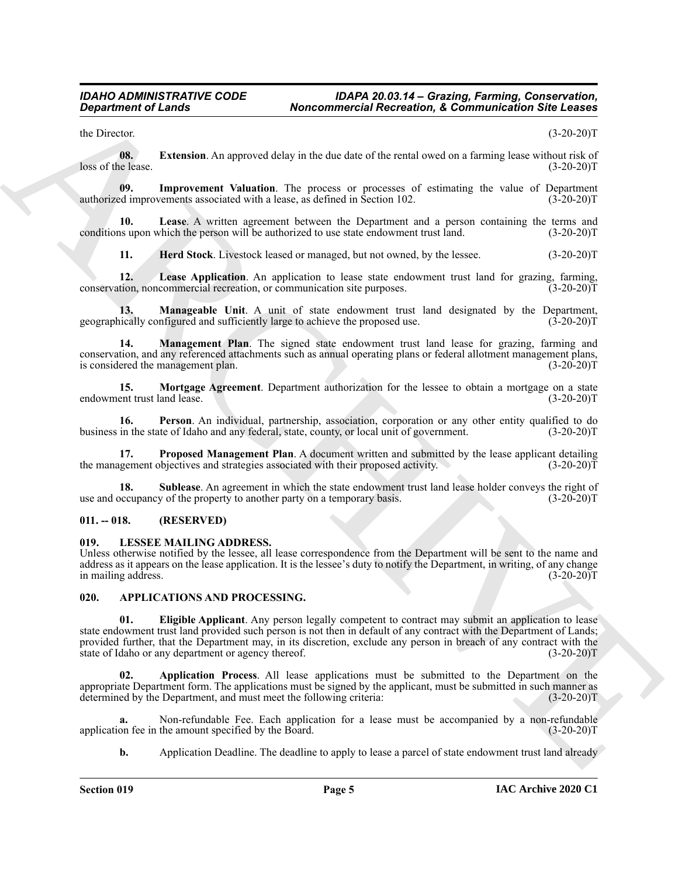<span id="page-4-6"></span>the Director.  $(3-20-20)T$ 

**08.** Extension. An approved delay in the due date of the rental owed on a farming lease without risk of the lease. loss of the lease.

<span id="page-4-8"></span>**09.** Improvement Valuation. The process or processes of estimating the value of Department ed improvements associated with a lease, as defined in Section 102. (3-20-20)<sup>T</sup> authorized improvements associated with a lease, as defined in Section 102.

**10. Lease**. A written agreement between the Department and a person containing the terms and conditions upon which the person will be authorized to use state endowment trust land. (3-20-20)T

<span id="page-4-11"></span><span id="page-4-10"></span><span id="page-4-9"></span><span id="page-4-7"></span>**11. Herd Stock**. Livestock leased or managed, but not owned, by the lessee.  $(3-20-20)T$ 

**12. Lease Application**. An application to lease state endowment trust land for grazing, farming, conservation, noncommercial recreation, or communication site purposes. (3-20-20)T

**13. Manageable Unit**. A unit of state endowment trust land designated by the Department, incally configured and sufficiently large to achieve the proposed use. (3-20-20)<sup>T</sup> geographically configured and sufficiently large to achieve the proposed use.

<span id="page-4-12"></span>**14. Management Plan**. The signed state endowment trust land lease for grazing, farming and conservation, and any referenced attachments such as annual operating plans or federal allotment management plans,<br>(3-20-20)T (3-20-20)T is considered the management plan.

<span id="page-4-13"></span>**15. Mortgage Agreement**. Department authorization for the lessee to obtain a mortgage on a state ent trust land lease. (3-20-20) endowment trust land lease.

<span id="page-4-14"></span>**16. Person**. An individual, partnership, association, corporation or any other entity qualified to do in the state of Idaho and any federal, state, county, or local unit of government. (3-20-20)<sup>T</sup> business in the state of Idaho and any federal, state, county, or local unit of government.

<span id="page-4-15"></span>**17. Proposed Management Plan**. A document written and submitted by the lease applicant detailing gement objectives and strategies associated with their proposed activity. (3-20-20) the management objectives and strategies associated with their proposed activity.

<span id="page-4-16"></span>**18. Sublease**. An agreement in which the state endowment trust land lease holder conveys the right of use and occupancy of the property to another party on a temporary basis. (3-20-20)T

#### <span id="page-4-0"></span>**011. -- 018. (RESERVED)**

#### <span id="page-4-17"></span><span id="page-4-1"></span>**019. LESSEE MAILING ADDRESS.**

Unless otherwise notified by the lessee, all lease correspondence from the Department will be sent to the name and address as it appears on the lease application. It is the lessee's duty to notify the Department, in writing, of any change<br>in mailing address. (3-20-20)T in mailing address.

#### <span id="page-4-5"></span><span id="page-4-3"></span><span id="page-4-2"></span>**020. APPLICATIONS AND PROCESSING.**

ARCHIVE **01. Eligible Applicant**. Any person legally competent to contract may submit an application to lease state endowment trust land provided such person is not then in default of any contract with the Department of Lands; provided further, that the Department may, in its discretion, exclude any person in breach of any contract with the state of Idaho or any department or agency thereof. (3-20-20)T

<span id="page-4-4"></span>**02. Application Process**. All lease applications must be submitted to the Department on the appropriate Department form. The applications must be signed by the applicant, must be submitted in such manner as determined by the Department, and must meet the following criteria: (3-20-20)T

Non-refundable Fee. Each application for a lease must be accompanied by a non-refundable the amount specified by the Board. (3-20-20)<sup>T</sup> application fee in the amount specified by the Board.

**b.** Application Deadline. The deadline to apply to lease a parcel of state endowment trust land already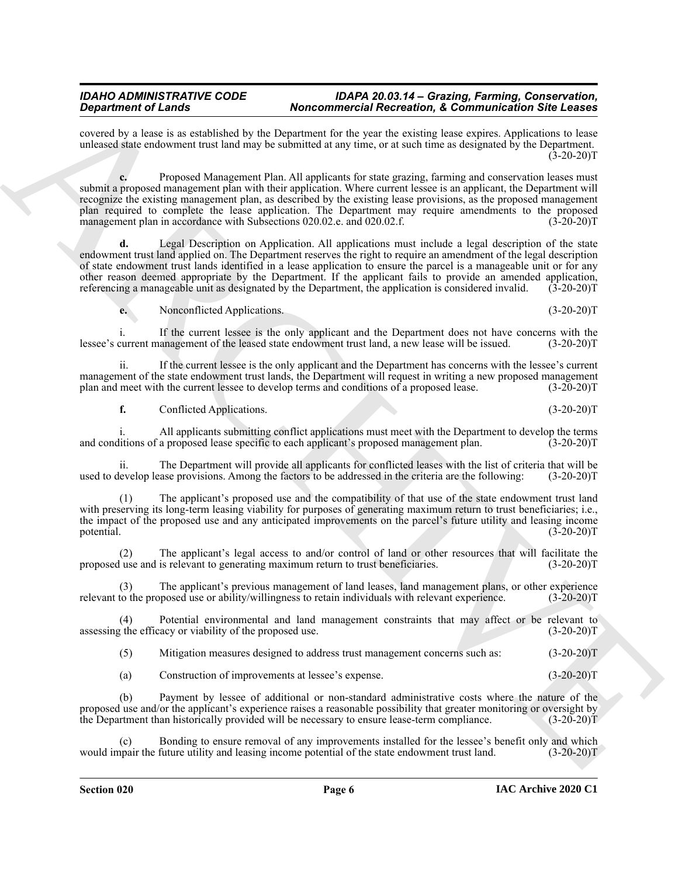covered by a lease is as established by the Department for the year the existing lease expires. Applications to lease unleased state endowment trust land may be submitted at any time, or at such time as designated by the Department.  $(3-20-20)T$ 

**Experimental discussions Monomeroid Metrophone Constrained A Experimental discussions and the state of the state of the state of the state of the state of the state of the state of the state of the state of the state o c.** Proposed Management Plan. All applicants for state grazing, farming and conservation leases must submit a proposed management plan with their application. Where current lessee is an applicant, the Department will recognize the existing management plan, as described by the existing lease provisions, as the proposed management plan required to complete the lease application. The Department may require amendments to the proposed management plan in accordance with Subsections 020.02.e. and 020.02.f. (3-20-20) management plan in accordance with Subsections 020.02.e. and 020.02.f.

**d.** Legal Description on Application. All applications must include a legal description of the state endowment trust land applied on. The Department reserves the right to require an amendment of the legal description of state endowment trust lands identified in a lease application to ensure the parcel is a manageable unit or for any other reason deemed appropriate by the Department. If the applicant fails to provide an amended application, referencing a manageable unit as designated by the Department, the application is considered invalid. (3-20-20)T

**e.** Nonconflicted Applications. (3-20-20)T

i. If the current lessee is the only applicant and the Department does not have concerns with the current management of the leased state endowment trust land, a new lease will be issued. (3-20-20) lessee's current management of the leased state endowment trust land, a new lease will be issued.

ii. If the current lessee is the only applicant and the Department has concerns with the lessee's current management of the state endowment trust lands, the Department will request in writing a new proposed management plan and meet with the current lessee to develop terms and conditions of a proposed lease. (3-20-20)T plan and meet with the current lessee to develop terms and conditions of a proposed lease.

**f.** Conflicted Applications. (3-20-20)T

i. All applicants submitting conflict applications must meet with the Department to develop the terms litions of a proposed lease specific to each applicant's proposed management plan. (3-20-20) and conditions of a proposed lease specific to each applicant's proposed management plan.

ii. The Department will provide all applicants for conflicted leases with the list of criteria that will be used to develop lease provisions. Among the factors to be addressed in the criteria are the following: (3-20-20)T

(1) The applicant's proposed use and the compatibility of that use of the state endowment trust land with preserving its long-term leasing viability for purposes of generating maximum return to trust beneficiaries; i.e., the impact of the proposed use and any anticipated improvements on the parcel's future utility and leasing income potential. (3-20-20) potential. (3-20-20)T

The applicant's legal access to and/or control of land or other resources that will facilitate the is relevant to generating maximum return to trust beneficiaries.  $(3{\text -}20{\text -}20)$ proposed use and is relevant to generating maximum return to trust beneficiaries.

(3) The applicant's previous management of land leases, land management plans, or other experience to the proposed use or ability/willingness to retain individuals with relevant experience. (3-20-20)T relevant to the proposed use or ability/willingness to retain individuals with relevant experience.

(4) Potential environmental and land management constraints that may affect or be relevant to the efficacy or viability of the proposed use.  $(3-20-20)$ assessing the efficacy or viability of the proposed use.

(5) Mitigation measures designed to address trust management concerns such as: (3-20-20)T

(a) Construction of improvements at lessee's expense. (3-20-20)T

Payment by lessee of additional or non-standard administrative costs where the nature of the proposed use and/or the applicant's experience raises a reasonable possibility that greater monitoring or oversight by the Department than historically provided will be necessary to ensure lease-term compliance. (3-20-20)T

Bonding to ensure removal of any improvements installed for the lessee's benefit only and which future utility and leasing income potential of the state endowment trust land. (3-20-20)T would impair the future utility and leasing income potential of the state endowment trust land.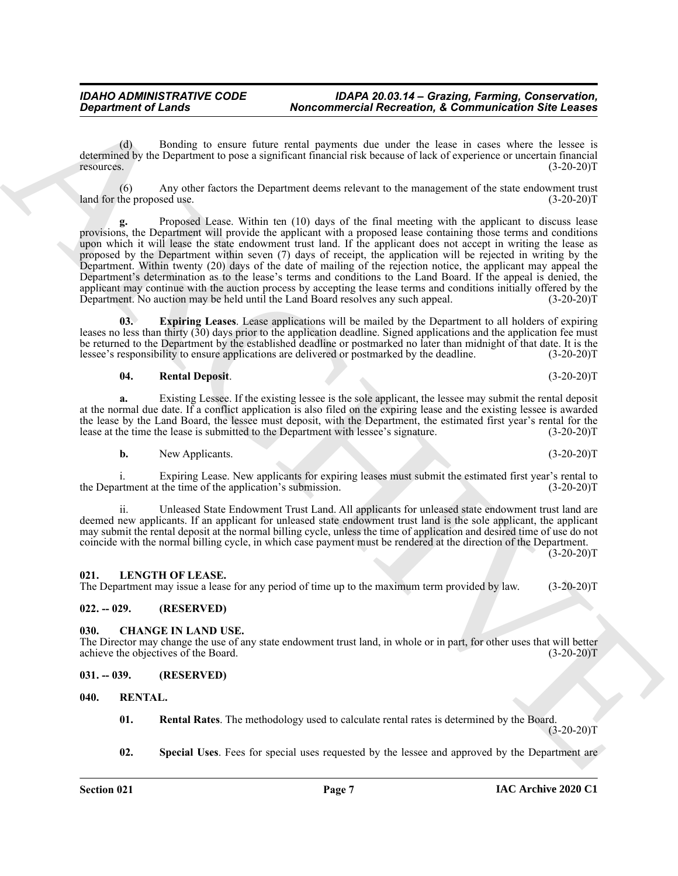(d) Bonding to ensure future rental payments due under the lease in cases where the lessee is determined by the Department to pose a significant financial risk because of lack of experience or uncertain financial resources. (3-20-20)T

(6) Any other factors the Department deems relevant to the management of the state endowment trust the proposed use.  $(3-20-20)T$ land for the proposed use.

Begard ment of Leading Counter and the same video with the same of the last of the same video in the same video the same video in the same video with the same video the same video in the same video in the same video in th **g.** Proposed Lease. Within ten (10) days of the final meeting with the applicant to discuss lease provisions, the Department will provide the applicant with a proposed lease containing those terms and conditions upon which it will lease the state endowment trust land. If the applicant does not accept in writing the lease as proposed by the Department within seven (7) days of receipt, the application will be rejected in writing by the Department. Within twenty (20) days of the date of mailing of the rejection notice, the applicant may appeal the Department's determination as to the lease's terms and conditions to the Land Board. If the appeal is denied, the applicant may continue with the auction process by accepting the lease terms and conditions initially offered by the Department. No auction may be held until the Land Board resolves any such appeal. (3-20-20)T Department. No auction may be held until the Land Board resolves any such appeal.

**03. Expiring Leases**. Lease applications will be mailed by the Department to all holders of expiring leases no less than thirty (30) days prior to the application deadline. Signed applications and the application fee must be returned to the Department by the established deadline or postmarked no later than midnight of that date. It is the lessee's responsibility to ensure applications are delivered or postmarked by the deadline. (3-20-20)T lessee's responsibility to ensure applications are delivered or postmarked by the deadline.

#### <span id="page-6-6"></span><span id="page-6-5"></span>**04. Rental Deposit**. (3-20-20)T

**a.** Existing Lessee. If the existing lessee is the sole applicant, the lessee may submit the rental deposit at the normal due date. If a conflict application is also filed on the expiring lease and the existing lessee is awarded the lease by the Land Board, the lessee must deposit, with the Department, the estimated first year's rental for the lease at the time the lease is submitted to the Department with lessee's signature. (3-20-20) lease at the time the lease is submitted to the Department with lessee's signature.

**b.** New Applicants. (3-20-20)T

i. Expiring Lease. New applicants for expiring leases must submit the estimated first year's rental to the application's submission. (3-20-20) the Department at the time of the application's submission.

ii. Unleased State Endowment Trust Land. All applicants for unleased state endowment trust land are deemed new applicants. If an applicant for unleased state endowment trust land is the sole applicant, the applicant may submit the rental deposit at the normal billing cycle, unless the time of application and desired time of use do not coincide with the normal billing cycle, in which case payment must be rendered at the direction of the Department.

 $(3-20-20)T$ 

#### <span id="page-6-8"></span><span id="page-6-0"></span>**021. LENGTH OF LEASE.**

The Department may issue a lease for any period of time up to the maximum term provided by law. (3-20-20)T

### <span id="page-6-1"></span>**022. -- 029. (RESERVED)**

#### <span id="page-6-7"></span><span id="page-6-2"></span>**030. CHANGE IN LAND USE.**

The Director may change the use of any state endowment trust land, in whole or in part, for other uses that will better achieve the objectives of the Board. (3-20-20)T

<span id="page-6-3"></span>**031. -- 039. (RESERVED)**

<span id="page-6-10"></span><span id="page-6-9"></span>**01. Rental Rates**. The methodology used to calculate rental rates is determined by the Board.  $(3-20-20)T$ 

<span id="page-6-11"></span>**02. Special Uses**. Fees for special uses requested by the lessee and approved by the Department are

<span id="page-6-4"></span>**<sup>040.</sup> RENTAL.**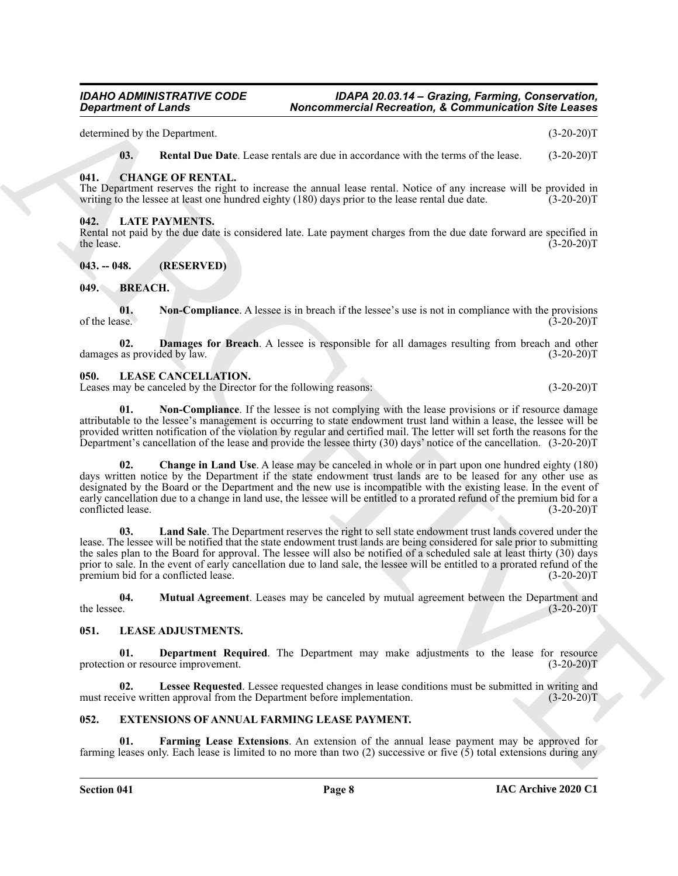determined by the Department. (3-20-20)T

<span id="page-7-22"></span><span id="page-7-10"></span>**03.** Rental Due Date. Lease rentals are due in accordance with the terms of the lease. (3-20-20)T

#### <span id="page-7-0"></span>**041. CHANGE OF RENTAL.**

The Department reserves the right to increase the annual lease rental. Notice of any increase will be provided in writing to the lessee at least one hundred eighty (180) days prior to the lease rental due date. (3-20-20)T writing to the lessee at least one hundred eighty (180) days prior to the lease rental due date.

#### <span id="page-7-13"></span><span id="page-7-1"></span>**042. LATE PAYMENTS.**

Rental not paid by the due date is considered late. Late payment charges from the due date forward are specified in the lease. (3-20-20)T the lease.  $(3-20-20)T$ 

<span id="page-7-2"></span>**043. -- 048. (RESERVED)**

#### <span id="page-7-7"></span><span id="page-7-3"></span>**049. BREACH.**

<span id="page-7-9"></span>**01.** Non-Compliance. A lessee is in breach if the lessee's use is not in compliance with the provisions of the lease. (3-20-20)<sup>T</sup> of the lease.  $(3-20-20)T$ 

<span id="page-7-8"></span>**02. Damages for Breach**. A lessee is responsible for all damages resulting from breach and other as provided by law. (3-20-20) damages as provided by law.

#### <span id="page-7-17"></span><span id="page-7-4"></span>**050. LEASE CANCELLATION.**

Leases may be canceled by the Director for the following reasons: (3-20-20)T

<span id="page-7-21"></span><span id="page-7-18"></span>**01.** Non-Compliance. If the lessee is not complying with the lease provisions or if resource damage attributable to the lessee's management is occurring to state endowment trust land within a lease, the lessee will be provided written notification of the violation by regular and certified mail. The letter will set forth the reasons for the Department's cancellation of the lease and provide the lessee thirty (30) days' notice of the cancellation. (3-20-20)T

**Department of Leads Computer Memorial Recreation & Edition and Section 36:** 4.328 2011<br>
Action 10: **EXECUTE THE CONFIDENTIAL CONFIDENTIAL CONFIDENTIAL CONFIDENTIAL CONFIDENTIAL CONFIDENTIAL CONFIDENTIAL CONFIDENTIAL CONF 02. Change in Land Use**. A lease may be canceled in whole or in part upon one hundred eighty (180) days written notice by the Department if the state endowment trust lands are to be leased for any other use as designated by the Board or the Department and the new use is incompatible with the existing lease. In the event of early cancellation due to a change in land use, the lessee will be entitled to a prorated refund of the premium bid for a conflicted lease. (3-20-20) conflicted lease.

<span id="page-7-19"></span>**03. Land Sale**. The Department reserves the right to sell state endowment trust lands covered under the lease. The lessee will be notified that the state endowment trust lands are being considered for sale prior to submitting the sales plan to the Board for approval. The lessee will also be notified of a scheduled sale at least thirty (30) days prior to sale. In the event of early cancellation due to land sale, the lessee will be entitled to a prorated refund of the premium bid for a conflicted lease. (3-20-20)T

<span id="page-7-20"></span>**04.** Mutual Agreement. Leases may be canceled by mutual agreement between the Department and the lessee. (3-20-20)T the lessee.  $(3-20-20)T$ 

#### <span id="page-7-14"></span><span id="page-7-5"></span>**051. LEASE ADJUSTMENTS.**

<span id="page-7-15"></span>**01.** Department Required. The Department may make adjustments to the lease for resource improvement. (3-20-20)T protection or resource improvement.

<span id="page-7-16"></span>**02. Lessee Requested**. Lessee requested changes in lease conditions must be submitted in writing and must receive written approval from the Department before implementation. (3-20-20)T

#### <span id="page-7-11"></span><span id="page-7-6"></span>**052. EXTENSIONS OF ANNUAL FARMING LEASE PAYMENT.**

<span id="page-7-12"></span>**Farming Lease Extensions.** An extension of the annual lease payment may be approved for farming leases only. Each lease is limited to no more than two (2) successive or five (5) total extensions during any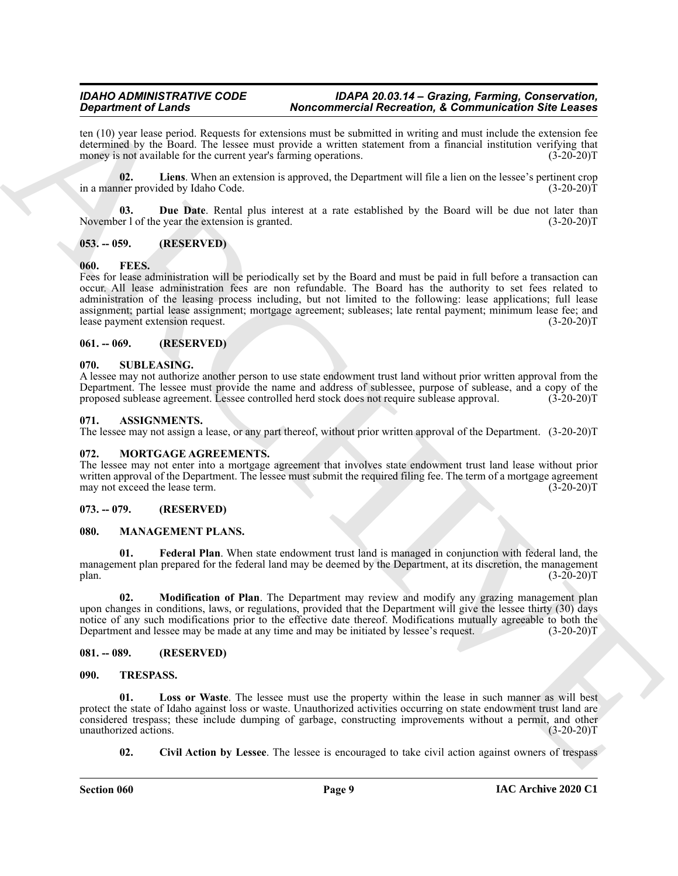ten (10) year lease period. Requests for extensions must be submitted in writing and must include the extension fee determined by the Board. The lessee must provide a written statement from a financial institution verifying that money is not available for the current year's farming operations. (3-20-20) money is not available for the current year's farming operations.

<span id="page-8-12"></span>**02.** Liens. When an extension is approved, the Department will file a lien on the lessee's pertinent crop ner provided by Idaho Code.  $(3-20-20)$ in a manner provided by Idaho Code.

<span id="page-8-11"></span>**03. Due Date**. Rental plus interest at a rate established by the Board will be due not later than er l of the year the extension is granted. (3-20-20)<sup>T</sup> November 1 of the year the extension is granted.

#### <span id="page-8-0"></span>**053. -- 059. (RESERVED)**

#### <span id="page-8-13"></span><span id="page-8-1"></span>**060. FEES.**

**Experimental Construction Constrainers Monomerocial Properties Community and Community Construction Since Construction**<br>
And the main of the signal properties are not the signal of the signal construction of the signal Fees for lease administration will be periodically set by the Board and must be paid in full before a transaction can occur. All lease administration fees are non refundable. The Board has the authority to set fees related to administration of the leasing process including, but not limited to the following: lease applications; full lease assignment; partial lease assignment; mortgage agreement; subleases; late rental payment; minimum lease fee; and lease payment extension request. (3-20-20) lease payment extension request.

#### <span id="page-8-2"></span>**061. -- 069. (RESERVED)**

#### <span id="page-8-18"></span><span id="page-8-3"></span>**070. SUBLEASING.**

A lessee may not authorize another person to use state endowment trust land without prior written approval from the Department. The lessee must provide the name and address of sublessee, purpose of sublease, and a copy of the proposed sublease agreement. Lessee controlled herd stock does not require sublease approval. (3-20-20)T

#### <span id="page-8-10"></span><span id="page-8-4"></span>**071. ASSIGNMENTS.**

The lessee may not assign a lease, or any part thereof, without prior written approval of the Department. (3-20-20)T

#### <span id="page-8-17"></span><span id="page-8-5"></span>**072. MORTGAGE AGREEMENTS.**

The lessee may not enter into a mortgage agreement that involves state endowment trust land lease without prior written approval of the Department. The lessee must submit the required filing fee. The term of a mortgage agreement may not exceed the lease term. (3-20-20) may not exceed the lease term.

#### <span id="page-8-6"></span>**073. -- 079. (RESERVED)**

#### <span id="page-8-14"></span><span id="page-8-7"></span>**080. MANAGEMENT PLANS.**

<span id="page-8-15"></span>**01. Federal Plan**. When state endowment trust land is managed in conjunction with federal land, the management plan prepared for the federal land may be deemed by the Department, at its discretion, the management plan. (3-20-20)T

<span id="page-8-16"></span>**02. Modification of Plan**. The Department may review and modify any grazing management plan upon changes in conditions, laws, or regulations, provided that the Department will give the lessee thirty (30) days notice of any such modifications prior to the effective date thereof. Modifications mutually agreeable to both the Department and lessee may be made at any time and may be initiated by lessee's request. (3-20-20)T Department and lessee may be made at any time and may be initiated by lessee's request.

#### <span id="page-8-8"></span>**081. -- 089. (RESERVED)**

#### <span id="page-8-19"></span><span id="page-8-9"></span>**090. TRESPASS.**

**01. Loss or Waste**. The lessee must use the property within the lease in such manner as will best protect the state of Idaho against loss or waste. Unauthorized activities occurring on state endowment trust land are considered trespass; these include dumping of garbage, constructing improvements without a permit, and other unauthorized actions.

<span id="page-8-21"></span><span id="page-8-20"></span>**02.** Civil Action by Lessee. The lessee is encouraged to take civil action against owners of trespass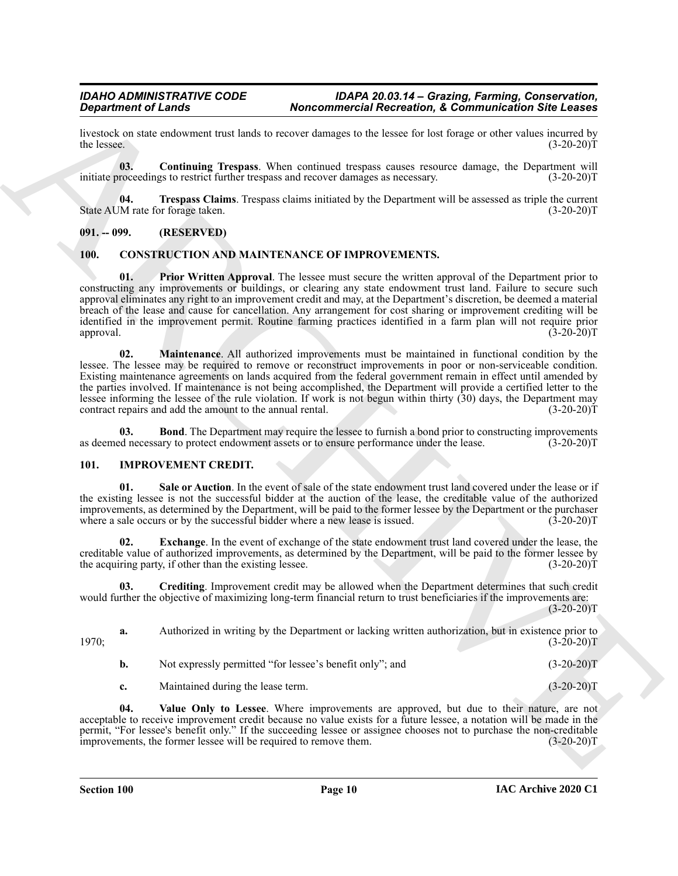livestock on state endowment trust lands to recover damages to the lessee for lost forage or other values incurred by the lessee. (3-20-20) the lessee.  $(3-20-20)T$ 

<span id="page-9-12"></span>**03.** Continuing Trespass. When continued trespass causes resource damage, the Department will roceedings to restrict further trespass and recover damages as necessary. (3-20-20) initiate proceedings to restrict further trespass and recover damages as necessary.

<span id="page-9-13"></span>**04. Trespass Claims**. Trespass claims initiated by the Department will be assessed as triple the current State AUM rate for forage taken.

#### <span id="page-9-0"></span>**091. -- 099. (RESERVED)**

#### <span id="page-9-6"></span><span id="page-9-3"></span><span id="page-9-1"></span>**100. CONSTRUCTION AND MAINTENANCE OF IMPROVEMENTS.**

**Dependent of Leads • Montgommerical Recreation & Economies: Bother and Figure 10 Constrained the Unit of the Unit of the Unit of the Unit of the Unit of the Unit of the Unit of the Unit of the Unit of the Unit of t 01. Prior Written Approval**. The lessee must secure the written approval of the Department prior to constructing any improvements or buildings, or clearing any state endowment trust land. Failure to secure such approval eliminates any right to an improvement credit and may, at the Department's discretion, be deemed a material breach of the lease and cause for cancellation. Any arrangement for cost sharing or improvement crediting will be identified in the improvement permit. Routine farming practices identified in a farm plan will not require prior approval. (3-20-20)T

<span id="page-9-5"></span>**02. Maintenance**. All authorized improvements must be maintained in functional condition by the lessee. The lessee may be required to remove or reconstruct improvements in poor or non-serviceable condition. Existing maintenance agreements on lands acquired from the federal government remain in effect until amended by the parties involved. If maintenance is not being accomplished, the Department will provide a certified letter to the lessee informing the lessee of the rule violation. If work is not begun within thirty (30) days, the Department may contract repairs and add the amount to the annual rental. (3-20-20) contract repairs and add the amount to the annual rental.

<span id="page-9-4"></span>**Bond**. The Department may require the lessee to furnish a bond prior to constructing improvements ary to protect endowment assets or to ensure performance under the lease. (3-20-20) as deemed necessary to protect endowment assets or to ensure performance under the lease.

#### <span id="page-9-8"></span><span id="page-9-2"></span>**101. IMPROVEMENT CREDIT.**

<span id="page-9-10"></span>**01. Sale or Auction**. In the event of sale of the state endowment trust land covered under the lease or if the existing lessee is not the successful bidder at the auction of the lease, the creditable value of the authorized improvements, as determined by the Department, will be paid to the former lessee by the Department or the purchaser<br>where a sale occurs or by the successful bidder where a new lease is issued. (3-20-20) where a sale occurs or by the successful bidder where a new lease is issued.

<span id="page-9-9"></span>**02. Exchange**. In the event of exchange of the state endowment trust land covered under the lease, the creditable value of authorized improvements, as determined by the Department, will be paid to the former lessee by the acquiring party, if other than the existing lessee.

<span id="page-9-7"></span>**03. Crediting**. Improvement credit may be allowed when the Department determines that such credit would further the objective of maximizing long-term financial return to trust beneficiaries if the improvements are:  $(3-20-20)T$ 

**a.** Authorized in writing by the Department or lacking written authorization, but in existence prior to (3-20-20)  $1970;$  (3-20-20)T

| b. | Not expressly permitted "for lessee's benefit only"; and | $(3-20-20)T$ |
|----|----------------------------------------------------------|--------------|
|    |                                                          |              |

<span id="page-9-11"></span>**c.** Maintained during the lease term. (3-20-20)T

**04. Value Only to Lessee**. Where improvements are approved, but due to their nature, are not acceptable to receive improvement credit because no value exists for a future lessee, a notation will be made in the permit, "For lessee's benefit only." If the succeeding lessee or assignee chooses not to purchase the non-creditable improvements, the former lessee will be required to remove them. (3-20-20) improvements, the former lessee will be required to remove them.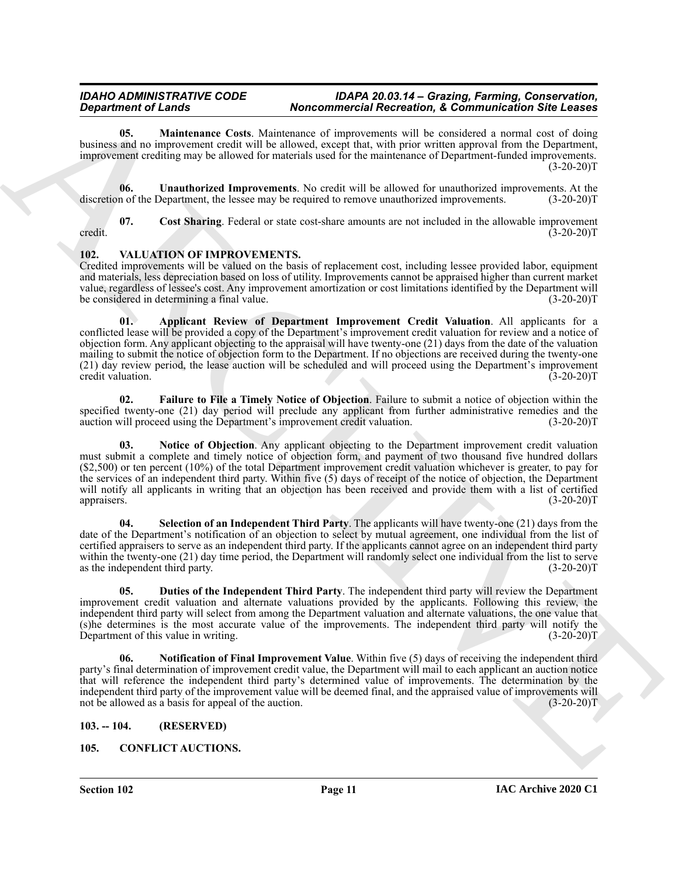<span id="page-10-5"></span>**05. Maintenance Costs**. Maintenance of improvements will be considered a normal cost of doing business and no improvement credit will be allowed, except that, with prior written approval from the Department, improvement crediting may be allowed for materials used for the maintenance of Department-funded improvements.  $(3-20-20)T$ 

<span id="page-10-6"></span>**06.** Unauthorized Improvements. No credit will be allowed for unauthorized improvements. At the n of the Department, the lessee may be required to remove unauthorized improvements. (3-20-20)T discretion of the Department, the lessee may be required to remove unauthorized improvements.

<span id="page-10-4"></span>**07. Cost Sharing**. Federal or state cost-share amounts are not included in the allowable improvement credit. (3-20-20)T

#### <span id="page-10-7"></span><span id="page-10-0"></span>**102. VALUATION OF IMPROVEMENTS.**

<span id="page-10-8"></span>Credited improvements will be valued on the basis of replacement cost, including lessee provided labor, equipment and materials, less depreciation based on loss of utility. Improvements cannot be appraised higher than current market value, regardless of lessee's cost. Any improvement amortization or cost limitations identified by the Department will be considered in determining a final value. (3-20-20) T

*Department of Lemma*<br> **ARCHIVES** *CALIFORNIA CONVENTION CONTINUES* **(***CARIFORNIA CONTINUES***) <b>ARCHIVES CONTINUES**<br> **ARCHIVES CONTINUES ARCHIVES CONTINUES CALIFORNIA CONTINUES** (**CARR CONTINUES) ARCHIVES CONTINUE 01. Applicant Review of Department Improvement Credit Valuation**. All applicants for a conflicted lease will be provided a copy of the Department's improvement credit valuation for review and a notice of objection form. Any applicant objecting to the appraisal will have twenty-one (21) days from the date of the valuation mailing to submit the notice of objection form to the Department. If no objections are received during the twenty-one (21) day review period, the lease auction will be scheduled and will proceed using the Department's improvement credit valuation.

<span id="page-10-10"></span>**02. Failure to File a Timely Notice of Objection**. Failure to submit a notice of objection within the specified twenty-one (21) day period will preclude any applicant from further administrative remedies and the auction will proceed using the Department's improvement credit valuation. (3-20-20) auction will proceed using the Department's improvement credit valuation.

<span id="page-10-11"></span>**03. Notice of Objection**. Any applicant objecting to the Department improvement credit valuation must submit a complete and timely notice of objection form, and payment of two thousand five hundred dollars (\$2,500) or ten percent (10%) of the total Department improvement credit valuation whichever is greater, to pay for the services of an independent third party. Within five (5) days of receipt of the notice of objection, the Department will notify all applicants in writing that an objection has been received and provide them with a list of certified appraisers. (3-20-20)T

<span id="page-10-13"></span>**04. Selection of an Independent Third Party**. The applicants will have twenty-one (21) days from the date of the Department's notification of an objection to select by mutual agreement, one individual from the list of certified appraisers to serve as an independent third party. If the applicants cannot agree on an independent third party within the twenty-one (21) day time period, the Department will randomly select one individual from the list to serve as the independent third party. (3-20-20)T

<span id="page-10-9"></span>**05. Duties of the Independent Third Party**. The independent third party will review the Department improvement credit valuation and alternate valuations provided by the applicants. Following this review, the independent third party will select from among the Department valuation and alternate valuations, the one value that (s)he determines is the most accurate value of the improvements. The independent third party will notify the Department of this value in writing. (3-20-20)T

<span id="page-10-12"></span>**06. Notification of Final Improvement Value**. Within five (5) days of receiving the independent third party's final determination of improvement credit value, the Department will mail to each applicant an auction notice that will reference the independent third party's determined value of improvements. The determination by the independent third party of the improvement value will be deemed final, and the appraised value of improvements will not be allowed as a basis for appeal of the auction. (3-20-20)T

#### <span id="page-10-1"></span>**103. -- 104. (RESERVED)**

### <span id="page-10-3"></span><span id="page-10-2"></span>**105. CONFLICT AUCTIONS.**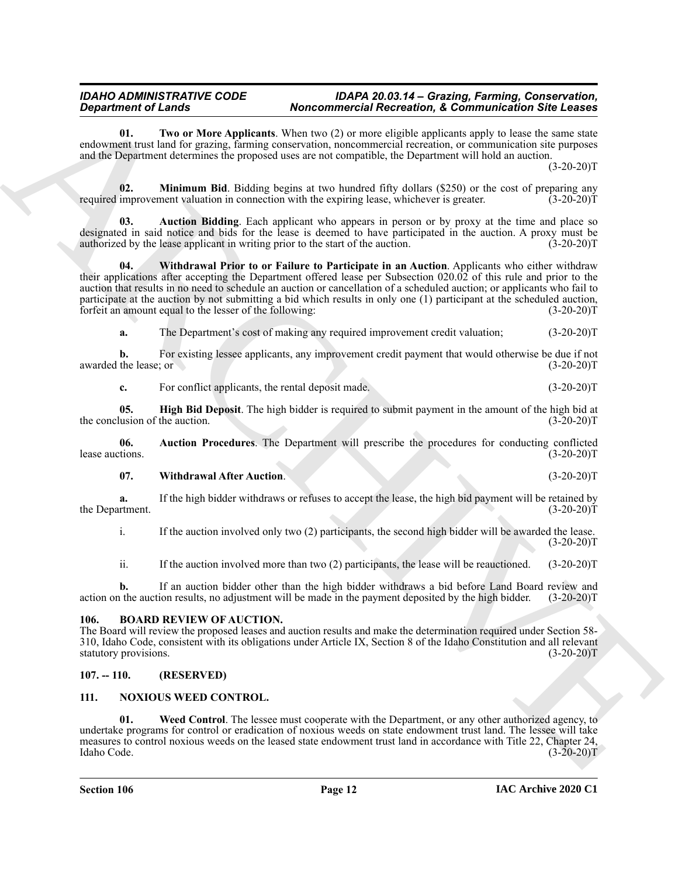<span id="page-11-8"></span>**01. Two or More Applicants**. When two (2) or more eligible applicants apply to lease the same state endowment trust land for grazing, farming conservation, noncommercial recreation, or communication site purposes and the Department determines the proposed uses are not compatible, the Department will hold an auction.

 $(3-20-20)T$ 

<span id="page-11-7"></span>**02. Minimum Bid**. Bidding begins at two hundred fifty dollars (\$250) or the cost of preparing any improvement valuation in connection with the expiring lease, whichever is greater. (3-20-20) required improvement valuation in connection with the expiring lease, whichever is greater.

<span id="page-11-4"></span>**03. Auction Bidding**. Each applicant who appears in person or by proxy at the time and place so designated in said notice and bids for the lease is deemed to have participated in the auction. A proxy must be authorized by the lease applicant in writing prior to the start of the auction. (3-20-20)T

*Department of Lines b* **Archives Commission Association A Example 2 Commission Association A Example 2 Commission A Example 2 Commission Commission Commission Consider the system of the sys 04. Withdrawal Prior to or Failure to Participate in an Auction**. Applicants who either withdraw their applications after accepting the Department offered lease per Subsection 020.02 of this rule and prior to the auction that results in no need to schedule an auction or cancellation of a scheduled auction; or applicants who fail to participate at the auction by not submitting a bid which results in only one (1) participant at the scheduled auction, forfeit an amount equal to the lesser of the following: (3-20-20) forfeit an amount equal to the lesser of the following:

<span id="page-11-10"></span>**a.** The Department's cost of making any required improvement credit valuation;  $(3-20-20)$ T

**b.** For existing lessee applicants, any improvement credit payment that would otherwise be due if not the lease; or  $(3-20-20)T$ awarded the lease; or

<span id="page-11-6"></span>**c.** For conflict applicants, the rental deposit made. (3-20-20)T

**05. High Bid Deposit**. The high bidder is required to submit payment in the amount of the high bid at lusion of the auction. (3-20-20) the conclusion of the auction.

**06.** Auction Procedures. The Department will prescribe the procedures for conducting conflicted tions. (3-20-20)T lease auctions.

#### <span id="page-11-9"></span><span id="page-11-5"></span>**07. Withdrawal After Auction**. (3-20-20)T

**a.** If the high bidder withdraws or refuses to accept the lease, the high bid payment will be retained by urtment.  $(3-20-20)T$ the Department.

i. If the auction involved only two (2) participants, the second high bidder will be awarded the lease.  $(3-20-20)T$ 

ii. If the auction involved more than two (2) participants, the lease will be reauctioned. (3-20-20)T

**b.** If an auction bidder other than the high bidder withdraws a bid before Land Board review and action on the auction results, no adjustment will be made in the payment deposited by the high bidder. (3-20-20)T

#### <span id="page-11-3"></span><span id="page-11-0"></span>**106. BOARD REVIEW OF AUCTION.**

The Board will review the proposed leases and auction results and make the determination required under Section 58- 310, Idaho Code, consistent with its obligations under Article IX, Section 8 of the Idaho Constitution and all relevant statutory provisions. (3-20-20)T

#### <span id="page-11-1"></span>**107. -- 110. (RESERVED)**

#### <span id="page-11-11"></span><span id="page-11-2"></span>**111. NOXIOUS WEED CONTROL.**

<span id="page-11-12"></span>**01. Weed Control**. The lessee must cooperate with the Department, or any other authorized agency, to undertake programs for control or eradication of noxious weeds on state endowment trust land. The lessee will take measures to control noxious weeds on the leased state endowment trust land in accordance with Title 22, Chapter 24, Idaho Code. (3-20-20)T Idaho Code. (3-20-20)T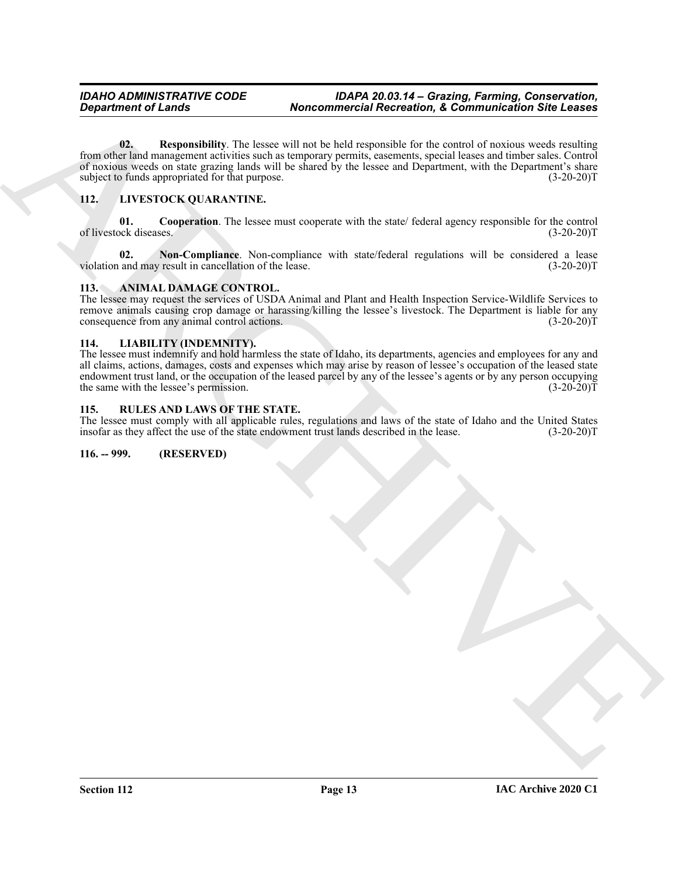Begavired of Leads<br>  $\frac{Q_1}{Q_1}$  Representation (E) also to call a specific the transition  $X$  and the specific state of the specific state and  $\frac{Q_2}{Q_1}$  Representation (E) also the specific state of the specific sta **02. Responsibility**. The lessee will not be held responsible for the control of noxious weeds resulting from other land management activities such as temporary permits, easements, special leases and timber sales. Control of noxious weeds on state grazing lands will be shared by the lessee and Department, with the Department's share subject to funds appropriated for that purpose. (3-20-20)T

### <span id="page-12-10"></span><span id="page-12-8"></span><span id="page-12-7"></span><span id="page-12-0"></span>**112. LIVESTOCK QUARANTINE.**

**01. Cooperation**. The lessee must cooperate with the state/ federal agency responsible for the control of livestock diseases. (3-20-20)T

<span id="page-12-9"></span>**02.** Non-Compliance. Non-compliance with state/federal regulations will be considered a lease and may result in cancellation of the lease. (3-20-20)<sup>T</sup> violation and may result in cancellation of the lease.

#### <span id="page-12-5"></span><span id="page-12-1"></span>**113. ANIMAL DAMAGE CONTROL.**

The lessee may request the services of USDA Animal and Plant and Health Inspection Service-Wildlife Services to remove animals causing crop damage or harassing/killing the lessee's livestock. The Department is liable for any<br>consequence from any animal control actions. (3-20-20) consequence from any animal control actions.

#### <span id="page-12-6"></span><span id="page-12-2"></span>**114. LIABILITY (INDEMNITY).**

The lessee must indemnify and hold harmless the state of Idaho, its departments, agencies and employees for any and all claims, actions, damages, costs and expenses which may arise by reason of lessee's occupation of the leased state endowment trust land, or the occupation of the leased parcel by any of the lessee's agents or by any person occupying<br>the same with the lessee's permission. (3-20-20)T the same with the lessee's permission.

#### <span id="page-12-11"></span><span id="page-12-3"></span>**115. RULES AND LAWS OF THE STATE.**

The lessee must comply with all applicable rules, regulations and laws of the state of Idaho and the United States insofar as they affect the use of the state endowment trust lands described in the lease. (3-20-20)T insofar as they affect the use of the state endowment trust lands described in the lease.

#### <span id="page-12-4"></span>**116. -- 999. (RESERVED)**